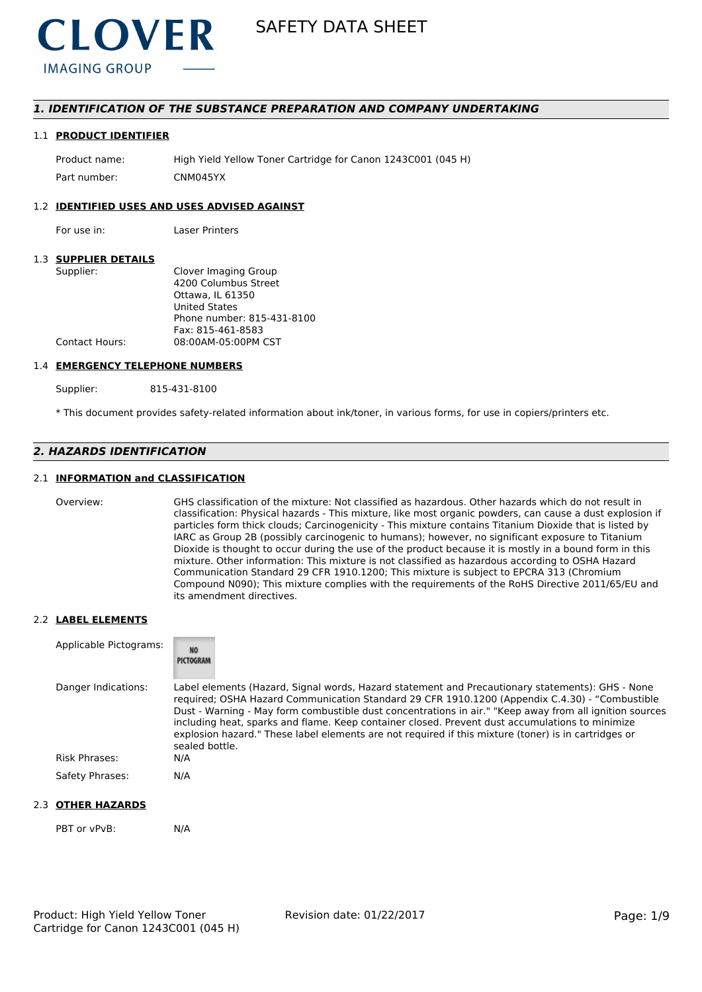

# *1. IDENTIFICATION OF THE SUBSTANCE PREPARATION AND COMPANY UNDERTAKING*

#### 1.1 **PRODUCT IDENTIFIER**

Product name: High Yield Yellow Toner Cartridge for Canon 1243C001 (045 H) Part number: CNM045YX

#### 1.2 **IDENTIFIED USES AND USES ADVISED AGAINST**

For use in: Laser Printers

#### 1.3 **SUPPLIER DETAILS**

| Supplier:      | Clover Imaging Group       |
|----------------|----------------------------|
|                | 4200 Columbus Street       |
|                | Ottawa. IL 61350           |
|                | <b>United States</b>       |
|                | Phone number: 815-431-8100 |
|                | Fax: 815-461-8583          |
| Contact Hours: | 08:00AM-05:00PM CST        |
|                |                            |

#### 1.4 **EMERGENCY TELEPHONE NUMBERS**

Supplier: 815-431-8100

\* This document provides safety-related information about ink/toner, in various forms, for use in copiers/printers etc.

# *2. HAZARDS IDENTIFICATION*

# 2.1 **INFORMATION and CLASSIFICATION**

Overview: GHS classification of the mixture: Not classified as hazardous. Other hazards which do not result in classification: Physical hazards - This mixture, like most organic powders, can cause a dust explosion if particles form thick clouds; Carcinogenicity - This mixture contains Titanium Dioxide that is listed by IARC as Group 2B (possibly carcinogenic to humans); however, no significant exposure to Titanium Dioxide is thought to occur during the use of the product because it is mostly in a bound form in this mixture. Other information: This mixture is not classified as hazardous according to OSHA Hazard Communication Standard 29 CFR 1910.1200; This mixture is subject to EPCRA 313 (Chromium Compound N090); This mixture complies with the requirements of the RoHS Directive 2011/65/EU and its amendment directives.

#### 2.2 **LABEL ELEMENTS**

| Applicable Pictograms: | NO <sub>1</sub><br>PICTOGRAM                                                                                                                                                                                                                                                                                                                                                                                                                                                                                                               |
|------------------------|--------------------------------------------------------------------------------------------------------------------------------------------------------------------------------------------------------------------------------------------------------------------------------------------------------------------------------------------------------------------------------------------------------------------------------------------------------------------------------------------------------------------------------------------|
| Danger Indications:    | Label elements (Hazard, Signal words, Hazard statement and Precautionary statements): GHS - None<br>required; OSHA Hazard Communication Standard 29 CFR 1910.1200 (Appendix C.4.30) - "Combustible<br>Dust - Warning - May form combustible dust concentrations in air." "Keep away from all ignition sources<br>including heat, sparks and flame. Keep container closed. Prevent dust accumulations to minimize<br>explosion hazard." These label elements are not required if this mixture (toner) is in cartridges or<br>sealed bottle. |
| Risk Phrases:          | N/A                                                                                                                                                                                                                                                                                                                                                                                                                                                                                                                                        |
| Safety Phrases:        | N/A                                                                                                                                                                                                                                                                                                                                                                                                                                                                                                                                        |

# 2.3 **OTHER HAZARDS**

PBT or vPvB: N/A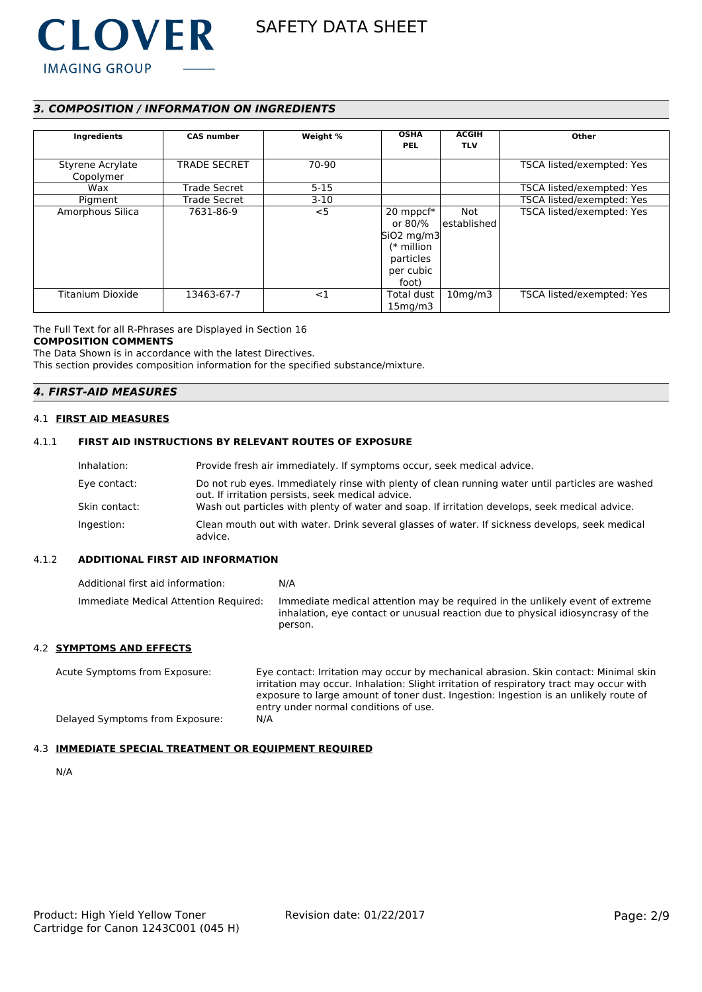

# *3. COMPOSITION / INFORMATION ON INGREDIENTS*

| Ingredients                   | <b>CAS number</b>   | Weight % | <b>OSHA</b><br><b>PEL</b>                                                               | <b>ACGIH</b><br><b>TLV</b> | Other                     |
|-------------------------------|---------------------|----------|-----------------------------------------------------------------------------------------|----------------------------|---------------------------|
| Styrene Acrylate<br>Copolymer | <b>TRADE SECRET</b> | 70-90    |                                                                                         |                            | TSCA listed/exempted: Yes |
| Wax                           | <b>Trade Secret</b> | $5 - 15$ |                                                                                         |                            | TSCA listed/exempted: Yes |
| Pigment                       | <b>Trade Secret</b> | $3-10$   |                                                                                         |                            | TSCA listed/exempted: Yes |
| Amorphous Silica              | 7631-86-9           | $<$ 5    | 20 mppcf*<br>or 80/%<br>$SiO2$ mg/m3<br>$(*$ million<br>particles<br>per cubic<br>foot) | Not<br>l established l     | TSCA listed/exempted: Yes |
| <b>Titanium Dioxide</b>       | 13463-67-7          | <1       | Total dust<br>15 <sub>mq</sub> /m3                                                      | $10$ mg/m $3$              | TSCA listed/exempted: Yes |

#### The Full Text for all R-Phrases are Displayed in Section 16 **COMPOSITION COMMENTS**

The Data Shown is in accordance with the latest Directives. This section provides composition information for the specified substance/mixture.

# *4. FIRST-AID MEASURES*

#### 4.1 **FIRST AID MEASURES**

# 4.1.1 **FIRST AID INSTRUCTIONS BY RELEVANT ROUTES OF EXPOSURE**

| Inhalation:   | Provide fresh air immediately. If symptoms occur, seek medical advice.                                                                                |
|---------------|-------------------------------------------------------------------------------------------------------------------------------------------------------|
| Eye contact:  | Do not rub eyes. Immediately rinse with plenty of clean running water until particles are washed<br>out. If irritation persists, seek medical advice. |
| Skin contact: | Wash out particles with plenty of water and soap. If irritation develops, seek medical advice.                                                        |
| Ingestion:    | Clean mouth out with water. Drink several glasses of water. If sickness develops, seek medical<br>advice.                                             |

### 4.1.2 **ADDITIONAL FIRST AID INFORMATION**

| Additional first aid information:     | N/A                                                                                                                                                                        |
|---------------------------------------|----------------------------------------------------------------------------------------------------------------------------------------------------------------------------|
| Immediate Medical Attention Required: | Immediate medical attention may be required in the unlikely event of extreme<br>inhalation, eye contact or unusual reaction due to physical idiosyncrasy of the<br>person. |

# 4.2 **SYMPTOMS AND EFFECTS**

Acute Symptoms from Exposure: Eye contact: Irritation may occur by mechanical abrasion. Skin contact: Minimal skin irritation may occur. Inhalation: Slight irritation of respiratory tract may occur with exposure to large amount of toner dust. Ingestion: Ingestion is an unlikely route of entry under normal conditions of use. Delayed Symptoms from Exposure: N/A

#### 4.3 **IMMEDIATE SPECIAL TREATMENT OR EQUIPMENT REQUIRED**

N/A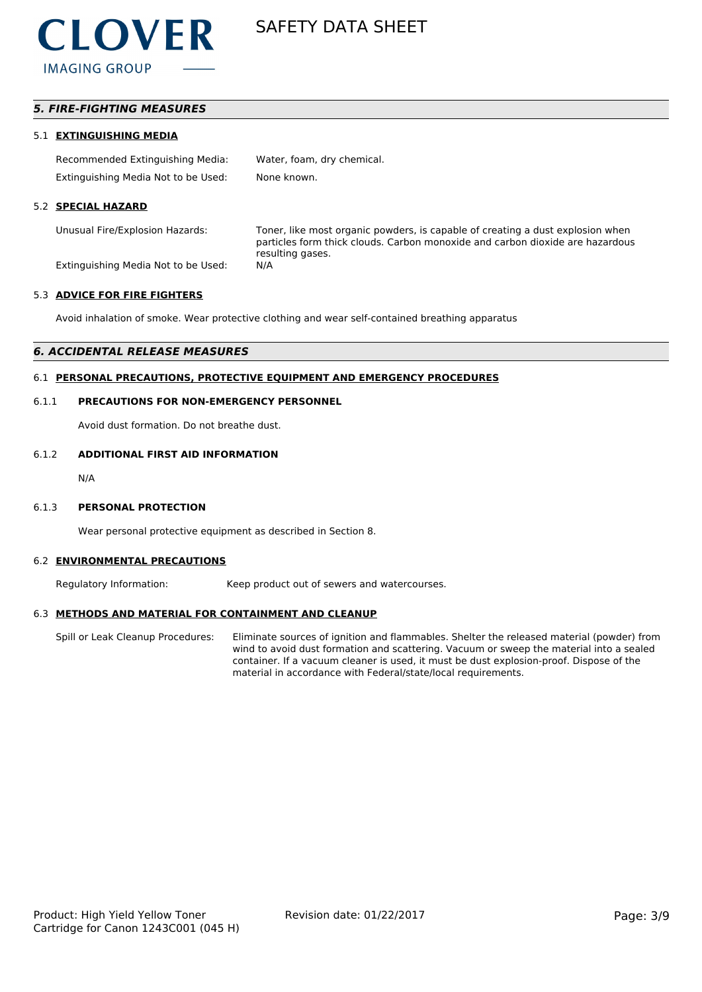

# *5. FIRE-FIGHTING MEASURES*

#### 5.1 **EXTINGUISHING MEDIA**

| Recommended Extinguishing Media:    | Water, foam, dry chemical. |
|-------------------------------------|----------------------------|
| Extinguishing Media Not to be Used: | None known.                |

#### 5.2 **SPECIAL HAZARD**

Unusual Fire/Explosion Hazards: Toner, like most organic powders, is capable of creating a dust explosion when particles form thick clouds. Carbon monoxide and carbon dioxide are hazardous resulting gases.

Extinguishing Media Not to be Used: N/A

#### 5.3 **ADVICE FOR FIRE FIGHTERS**

Avoid inhalation of smoke. Wear protective clothing and wear self-contained breathing apparatus

# *6. ACCIDENTAL RELEASE MEASURES*

# 6.1 **PERSONAL PRECAUTIONS, PROTECTIVE EQUIPMENT AND EMERGENCY PROCEDURES**

#### 6.1.1 **PRECAUTIONS FOR NON-EMERGENCY PERSONNEL**

Avoid dust formation. Do not breathe dust.

#### 6.1.2 **ADDITIONAL FIRST AID INFORMATION**

N/A

#### 6.1.3 **PERSONAL PROTECTION**

Wear personal protective equipment as described in Section 8.

#### 6.2 **ENVIRONMENTAL PRECAUTIONS**

Regulatory Information: Keep product out of sewers and watercourses.

#### 6.3 **METHODS AND MATERIAL FOR CONTAINMENT AND CLEANUP**

Spill or Leak Cleanup Procedures: Eliminate sources of ignition and flammables. Shelter the released material (powder) from wind to avoid dust formation and scattering. Vacuum or sweep the material into a sealed container. If a vacuum cleaner is used, it must be dust explosion-proof. Dispose of the material in accordance with Federal/state/local requirements.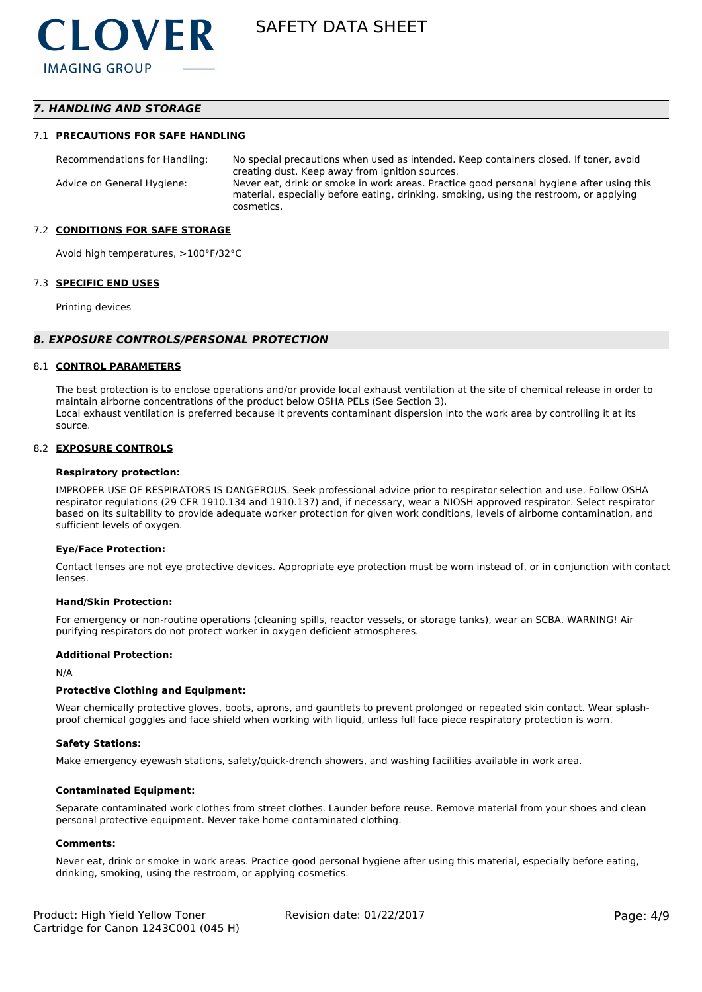# *7. HANDLING AND STORAGE*

#### 7.1 **PRECAUTIONS FOR SAFE HANDLING**

Recommendations for Handling: No special precautions when used as intended. Keep containers closed. If toner, avoid creating dust. Keep away from ignition sources. Advice on General Hygiene: Never eat, drink or smoke in work areas. Practice good personal hygiene after using this material, especially before eating, drinking, smoking, using the restroom, or applying cosmetics.

#### 7.2 **CONDITIONS FOR SAFE STORAGE**

Avoid high temperatures, >100°F/32°C

#### 7.3 **SPECIFIC END USES**

Printing devices

#### *8. EXPOSURE CONTROLS/PERSONAL PROTECTION*

#### 8.1 **CONTROL PARAMETERS**

The best protection is to enclose operations and/or provide local exhaust ventilation at the site of chemical release in order to maintain airborne concentrations of the product below OSHA PELs (See Section 3). Local exhaust ventilation is preferred because it prevents contaminant dispersion into the work area by controlling it at its source.

#### 8.2 **EXPOSURE CONTROLS**

#### **Respiratory protection:**

IMPROPER USE OF RESPIRATORS IS DANGEROUS. Seek professional advice prior to respirator selection and use. Follow OSHA respirator regulations (29 CFR 1910.134 and 1910.137) and, if necessary, wear a NIOSH approved respirator. Select respirator based on its suitability to provide adequate worker protection for given work conditions, levels of airborne contamination, and sufficient levels of oxygen.

#### **Eye/Face Protection:**

Contact lenses are not eye protective devices. Appropriate eye protection must be worn instead of, or in conjunction with contact lenses.

#### **Hand/Skin Protection:**

For emergency or non-routine operations (cleaning spills, reactor vessels, or storage tanks), wear an SCBA. WARNING! Air purifying respirators do not protect worker in oxygen deficient atmospheres.

#### **Additional Protection:**

N/A

#### **Protective Clothing and Equipment:**

Wear chemically protective gloves, boots, aprons, and gauntlets to prevent prolonged or repeated skin contact. Wear splashproof chemical goggles and face shield when working with liquid, unless full face piece respiratory protection is worn.

#### **Safety Stations:**

Make emergency eyewash stations, safety/quick-drench showers, and washing facilities available in work area.

#### **Contaminated Equipment:**

Separate contaminated work clothes from street clothes. Launder before reuse. Remove material from your shoes and clean personal protective equipment. Never take home contaminated clothing.

#### **Comments:**

Never eat, drink or smoke in work areas. Practice good personal hygiene after using this material, especially before eating, drinking, smoking, using the restroom, or applying cosmetics.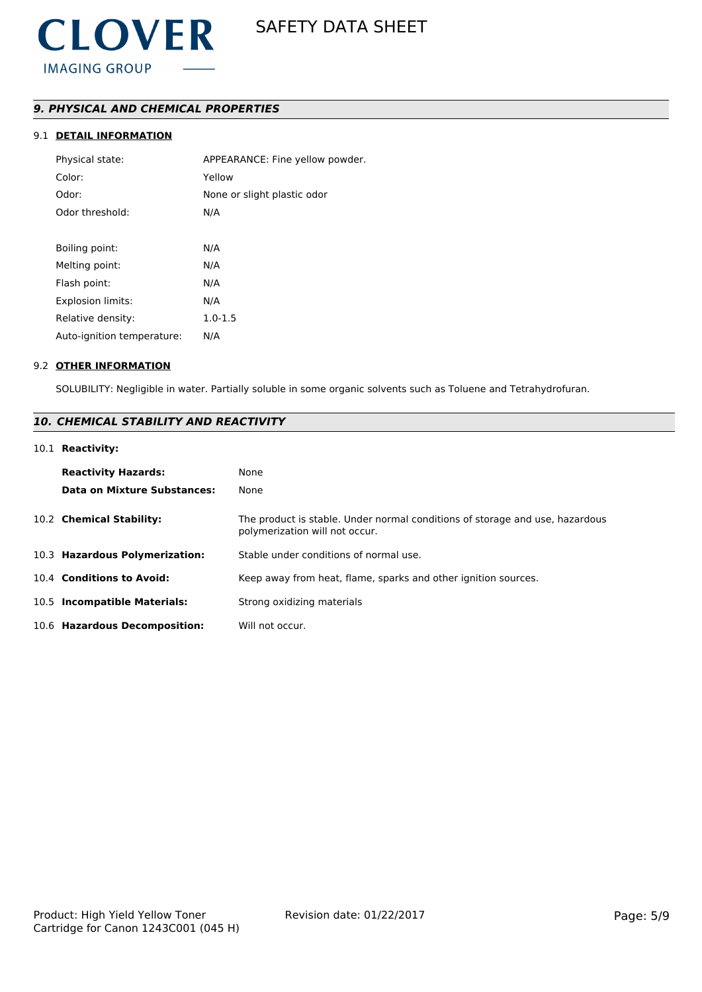# *9. PHYSICAL AND CHEMICAL PROPERTIES*

# 9.1 **DETAIL INFORMATION**

| Physical state:            | APPEARANCE: Fine yellow powder. |
|----------------------------|---------------------------------|
| Color:                     | Yellow                          |
| Odor:                      | None or slight plastic odor     |
| Odor threshold:            | N/A                             |
|                            |                                 |
| Boiling point:             | N/A                             |
| Melting point:             | N/A                             |
| Flash point:               | N/A                             |
| <b>Explosion limits:</b>   | N/A                             |
| Relative density:          | $1.0 - 1.5$                     |
| Auto-ignition temperature: | N/A                             |
|                            |                                 |

#### 9.2 **OTHER INFORMATION**

SOLUBILITY: Negligible in water. Partially soluble in some organic solvents such as Toluene and Tetrahydrofuran.

# *10. CHEMICAL STABILITY AND REACTIVITY*

# 10.1 **Reactivity:**

| <b>Reactivity Hazards:</b><br>Data on Mixture Substances: | None<br>None                                                                                                   |
|-----------------------------------------------------------|----------------------------------------------------------------------------------------------------------------|
| 10.2 Chemical Stability:                                  | The product is stable. Under normal conditions of storage and use, hazardous<br>polymerization will not occur. |
| 10.3 Hazardous Polymerization:                            | Stable under conditions of normal use.                                                                         |
| 10.4 Conditions to Avoid:                                 | Keep away from heat, flame, sparks and other ignition sources.                                                 |
| 10.5 Incompatible Materials:                              | Strong oxidizing materials                                                                                     |
| 10.6 Hazardous Decomposition:                             | Will not occur.                                                                                                |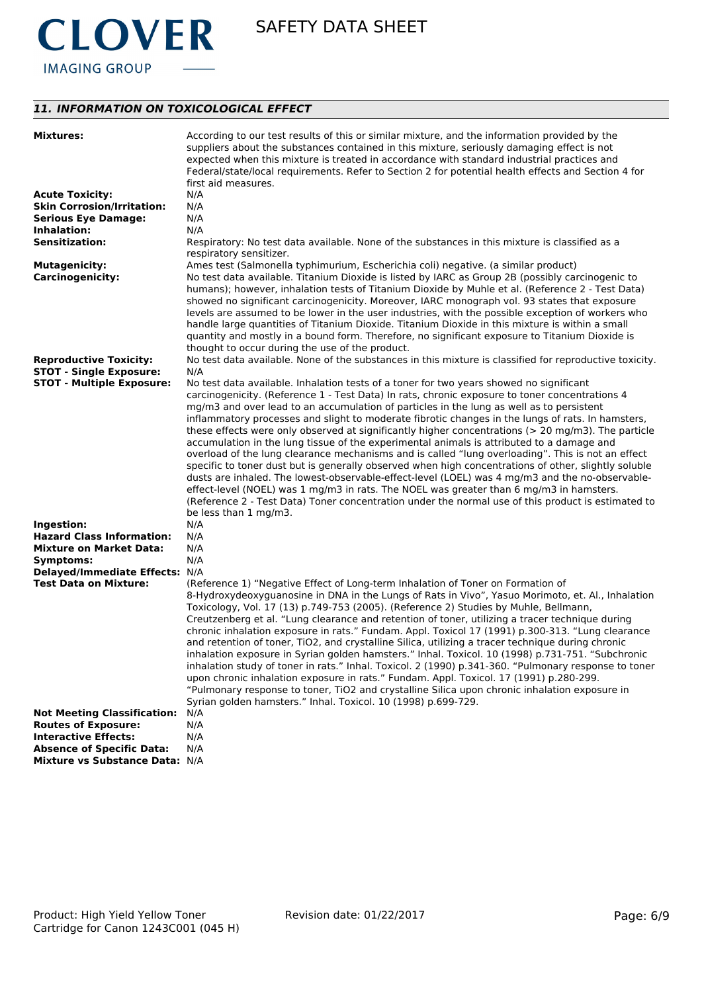

# *11. INFORMATION ON TOXICOLOGICAL EFFECT*

| <b>Mixtures:</b>                   | According to our test results of this or similar mixture, and the information provided by the<br>suppliers about the substances contained in this mixture, seriously damaging effect is not<br>expected when this mixture is treated in accordance with standard industrial practices and<br>Federal/state/local requirements. Refer to Section 2 for potential health effects and Section 4 for<br>first aid measures.                                                                                                                                                                                                                                                                                                                                                                                                                                                                                                                                                                                                                                          |
|------------------------------------|------------------------------------------------------------------------------------------------------------------------------------------------------------------------------------------------------------------------------------------------------------------------------------------------------------------------------------------------------------------------------------------------------------------------------------------------------------------------------------------------------------------------------------------------------------------------------------------------------------------------------------------------------------------------------------------------------------------------------------------------------------------------------------------------------------------------------------------------------------------------------------------------------------------------------------------------------------------------------------------------------------------------------------------------------------------|
| <b>Acute Toxicity:</b>             | N/A                                                                                                                                                                                                                                                                                                                                                                                                                                                                                                                                                                                                                                                                                                                                                                                                                                                                                                                                                                                                                                                              |
| <b>Skin Corrosion/Irritation:</b>  | N/A                                                                                                                                                                                                                                                                                                                                                                                                                                                                                                                                                                                                                                                                                                                                                                                                                                                                                                                                                                                                                                                              |
| <b>Serious Eye Damage:</b>         | N/A                                                                                                                                                                                                                                                                                                                                                                                                                                                                                                                                                                                                                                                                                                                                                                                                                                                                                                                                                                                                                                                              |
| Inhalation:                        | N/A                                                                                                                                                                                                                                                                                                                                                                                                                                                                                                                                                                                                                                                                                                                                                                                                                                                                                                                                                                                                                                                              |
| <b>Sensitization:</b>              | Respiratory: No test data available. None of the substances in this mixture is classified as a<br>respiratory sensitizer.                                                                                                                                                                                                                                                                                                                                                                                                                                                                                                                                                                                                                                                                                                                                                                                                                                                                                                                                        |
| <b>Mutagenicity:</b>               | Ames test (Salmonella typhimurium, Escherichia coli) negative. (a similar product)                                                                                                                                                                                                                                                                                                                                                                                                                                                                                                                                                                                                                                                                                                                                                                                                                                                                                                                                                                               |
| <b>Carcinogenicity:</b>            | No test data available. Titanium Dioxide is listed by IARC as Group 2B (possibly carcinogenic to<br>humans); however, inhalation tests of Titanium Dioxide by Muhle et al. (Reference 2 - Test Data)<br>showed no significant carcinogenicity. Moreover, IARC monograph vol. 93 states that exposure<br>levels are assumed to be lower in the user industries, with the possible exception of workers who<br>handle large quantities of Titanium Dioxide. Titanium Dioxide in this mixture is within a small<br>quantity and mostly in a bound form. Therefore, no significant exposure to Titanium Dioxide is<br>thought to occur during the use of the product.                                                                                                                                                                                                                                                                                                                                                                                                |
| <b>Reproductive Toxicity:</b>      | No test data available. None of the substances in this mixture is classified for reproductive toxicity.                                                                                                                                                                                                                                                                                                                                                                                                                                                                                                                                                                                                                                                                                                                                                                                                                                                                                                                                                          |
| <b>STOT - Single Exposure:</b>     | N/A                                                                                                                                                                                                                                                                                                                                                                                                                                                                                                                                                                                                                                                                                                                                                                                                                                                                                                                                                                                                                                                              |
| <b>STOT - Multiple Exposure:</b>   | No test data available. Inhalation tests of a toner for two years showed no significant                                                                                                                                                                                                                                                                                                                                                                                                                                                                                                                                                                                                                                                                                                                                                                                                                                                                                                                                                                          |
| Ingestion:                         | carcinogenicity. (Reference 1 - Test Data) In rats, chronic exposure to toner concentrations 4<br>mg/m3 and over lead to an accumulation of particles in the lung as well as to persistent<br>inflammatory processes and slight to moderate fibrotic changes in the lungs of rats. In hamsters,<br>these effects were only observed at significantly higher concentrations ( $> 20$ mg/m3). The particle<br>accumulation in the lung tissue of the experimental animals is attributed to a damage and<br>overload of the lung clearance mechanisms and is called "lung overloading". This is not an effect<br>specific to toner dust but is generally observed when high concentrations of other, slightly soluble<br>dusts are inhaled. The lowest-observable-effect-level (LOEL) was 4 mg/m3 and the no-observable-<br>effect-level (NOEL) was 1 mg/m3 in rats. The NOEL was greater than 6 mg/m3 in hamsters.<br>(Reference 2 - Test Data) Toner concentration under the normal use of this product is estimated to<br>be less than 1 mg/m3.<br>N/A           |
| <b>Hazard Class Information:</b>   | N/A                                                                                                                                                                                                                                                                                                                                                                                                                                                                                                                                                                                                                                                                                                                                                                                                                                                                                                                                                                                                                                                              |
| <b>Mixture on Market Data:</b>     | N/A                                                                                                                                                                                                                                                                                                                                                                                                                                                                                                                                                                                                                                                                                                                                                                                                                                                                                                                                                                                                                                                              |
| Symptoms:                          | N/A                                                                                                                                                                                                                                                                                                                                                                                                                                                                                                                                                                                                                                                                                                                                                                                                                                                                                                                                                                                                                                                              |
| Delayed/Immediate Effects: N/A     |                                                                                                                                                                                                                                                                                                                                                                                                                                                                                                                                                                                                                                                                                                                                                                                                                                                                                                                                                                                                                                                                  |
| <b>Test Data on Mixture:</b>       | (Reference 1) "Negative Effect of Long-term Inhalation of Toner on Formation of<br>8-Hydroxydeoxyguanosine in DNA in the Lungs of Rats in Vivo", Yasuo Morimoto, et. Al., Inhalation<br>Toxicology, Vol. 17 (13) p.749-753 (2005). (Reference 2) Studies by Muhle, Bellmann,<br>Creutzenberg et al. "Lung clearance and retention of toner, utilizing a tracer technique during<br>chronic inhalation exposure in rats." Fundam. Appl. Toxicol 17 (1991) p.300-313. "Lung clearance<br>and retention of toner, TiO2, and crystalline Silica, utilizing a tracer technique during chronic<br>inhalation exposure in Syrian golden hamsters." Inhal. Toxicol. 10 (1998) p.731-751. "Subchronic<br>inhalation study of toner in rats." Inhal. Toxicol. 2 (1990) p.341-360. "Pulmonary response to toner<br>upon chronic inhalation exposure in rats." Fundam. Appl. Toxicol. 17 (1991) p.280-299.<br>"Pulmonary response to toner, TiO2 and crystalline Silica upon chronic inhalation exposure in<br>Syrian golden hamsters." Inhal. Toxicol. 10 (1998) p.699-729. |
| <b>Not Meeting Classification:</b> | N/A                                                                                                                                                                                                                                                                                                                                                                                                                                                                                                                                                                                                                                                                                                                                                                                                                                                                                                                                                                                                                                                              |
| <b>Routes of Exposure:</b>         | N/A                                                                                                                                                                                                                                                                                                                                                                                                                                                                                                                                                                                                                                                                                                                                                                                                                                                                                                                                                                                                                                                              |
| <b>Interactive Effects:</b>        | N/A                                                                                                                                                                                                                                                                                                                                                                                                                                                                                                                                                                                                                                                                                                                                                                                                                                                                                                                                                                                                                                                              |
| <b>Absence of Specific Data:</b>   | N/A                                                                                                                                                                                                                                                                                                                                                                                                                                                                                                                                                                                                                                                                                                                                                                                                                                                                                                                                                                                                                                                              |
| Mixture vs Substance Data: N/A     |                                                                                                                                                                                                                                                                                                                                                                                                                                                                                                                                                                                                                                                                                                                                                                                                                                                                                                                                                                                                                                                                  |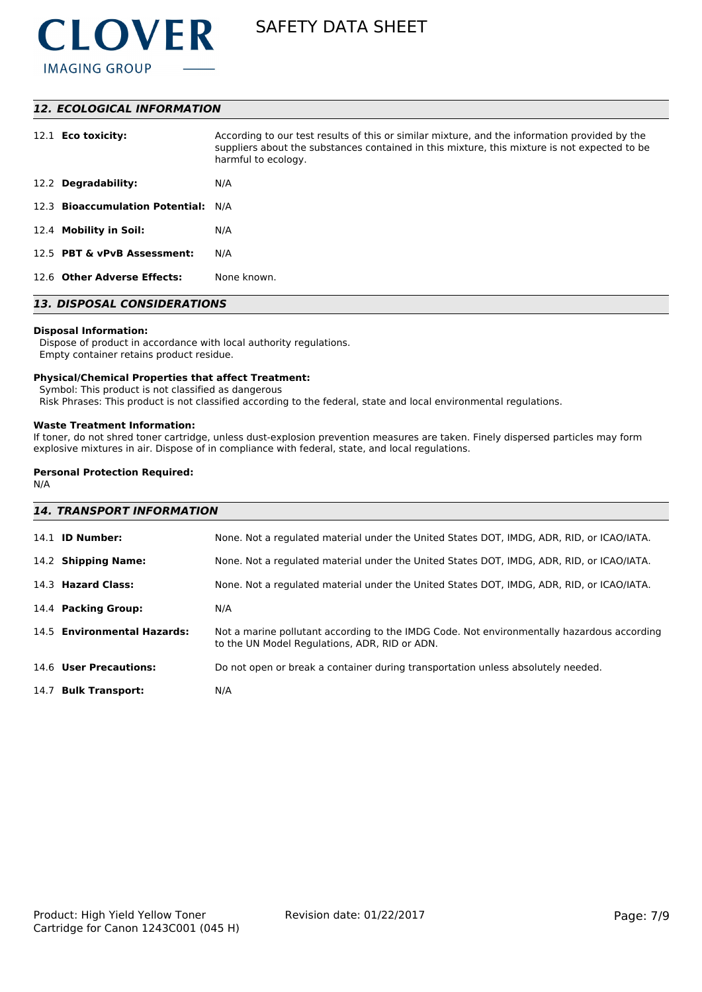

### *12. ECOLOGICAL INFORMATION*

| 12.1 <b>Eco toxicity:</b>           | According to our test results of this or similar mixture, and the information provided by the<br>suppliers about the substances contained in this mixture, this mixture is not expected to be<br>harmful to ecology. |
|-------------------------------------|----------------------------------------------------------------------------------------------------------------------------------------------------------------------------------------------------------------------|
| 12.2 Degradability:                 | N/A                                                                                                                                                                                                                  |
| 12.3 Bioaccumulation Potential: N/A |                                                                                                                                                                                                                      |
| 12.4 Mobility in Soil:              | N/A                                                                                                                                                                                                                  |
| 12.5 PBT & vPvB Assessment:         | N/A                                                                                                                                                                                                                  |
| 12.6 Other Adverse Effects:         | None known.                                                                                                                                                                                                          |

# *13. DISPOSAL CONSIDERATIONS*

### **Disposal Information:**

 Dispose of product in accordance with local authority regulations. Empty container retains product residue.

#### **Physical/Chemical Properties that affect Treatment:**

Symbol: This product is not classified as dangerous

Risk Phrases: This product is not classified according to the federal, state and local environmental regulations.

#### **Waste Treatment Information:**

If toner, do not shred toner cartridge, unless dust-explosion prevention measures are taken. Finely dispersed particles may form explosive mixtures in air. Dispose of in compliance with federal, state, and local regulations.

#### **Personal Protection Required:**

N/A

# *14. TRANSPORT INFORMATION*

| 14.1 <b>ID Number:</b>      | None. Not a regulated material under the United States DOT, IMDG, ADR, RID, or ICAO/IATA.                                                   |
|-----------------------------|---------------------------------------------------------------------------------------------------------------------------------------------|
| 14.2 Shipping Name:         | None. Not a regulated material under the United States DOT, IMDG, ADR, RID, or ICAO/IATA.                                                   |
| 14.3 Hazard Class:          | None. Not a regulated material under the United States DOT, IMDG, ADR, RID, or ICAO/IATA.                                                   |
| 14.4 Packing Group:         | N/A                                                                                                                                         |
| 14.5 Environmental Hazards: | Not a marine pollutant according to the IMDG Code. Not environmentally hazardous according<br>to the UN Model Regulations, ADR, RID or ADN. |
| 14.6 User Precautions:      | Do not open or break a container during transportation unless absolutely needed.                                                            |
| 14.7 Bulk Transport:        | N/A                                                                                                                                         |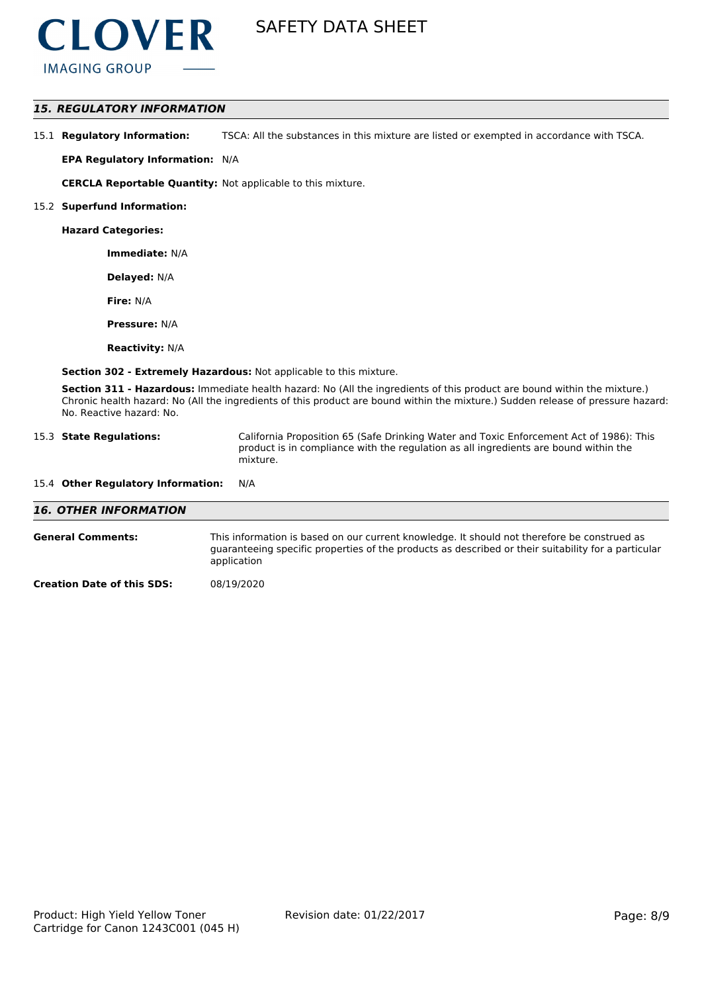

## *15. REGULATORY INFORMATION*

15.1 **Regulatory Information:** TSCA: All the substances in this mixture are listed or exempted in accordance with TSCA.

**EPA Regulatory Information:** N/A

**CERCLA Reportable Quantity:** Not applicable to this mixture.

#### 15.2 **Superfund Information:**

**Hazard Categories:**

**Immediate:** N/A

**Delayed:** N/A

**Fire:** N/A

**Pressure:** N/A

**Reactivity:** N/A

**Section 302 - Extremely Hazardous:** Not applicable to this mixture.

**Section 311 - Hazardous:** Immediate health hazard: No (All the ingredients of this product are bound within the mixture.) Chronic health hazard: No (All the ingredients of this product are bound within the mixture.) Sudden release of pressure hazard: No. Reactive hazard: No.

| 15.3 State Regulations: | California Proposition 65 (Safe Drinking Water and Toxic Enforcement Act of 1986): This |
|-------------------------|-----------------------------------------------------------------------------------------|
|                         | product is in compliance with the regulation as all ingredients are bound within the    |
|                         | mixture.                                                                                |

# 15.4 **Other Regulatory Information:** N/A

| <b>16. OTHER INFORMATION</b>      |                                                                                                                                                                                                                   |
|-----------------------------------|-------------------------------------------------------------------------------------------------------------------------------------------------------------------------------------------------------------------|
| <b>General Comments:</b>          | This information is based on our current knowledge. It should not therefore be construed as<br>guaranteeing specific properties of the products as described or their suitability for a particular<br>application |
| <b>Creation Date of this SDS:</b> | 08/19/2020                                                                                                                                                                                                        |